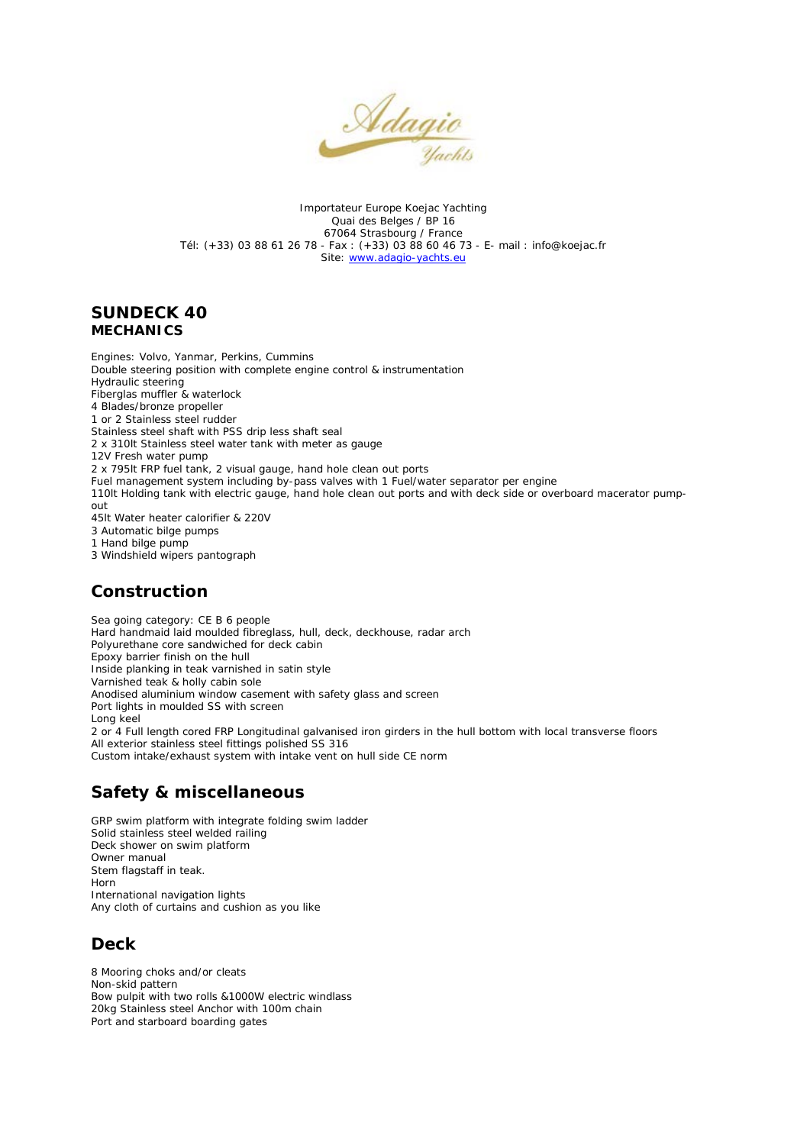

Importateur Europe Koejac Yachting Quai des Belges / BP 16 67064 Strasbourg / France Tél: (+33) 03 88 61 26 78 - Fax : (+33) 03 88 60 46 73 - E- mail : info@koejac.fr Site: [www.adagio-yachts.eu](http://www.adagio-yachts.eu/)

#### **SUNDECK 40 MECHANICS**

Engines: Volvo, Yanmar, Perkins, Cummins Double steering position with complete engine control & instrumentation Hydraulic steering Fiberglas muffler & waterlock 4 Blades/bronze propeller 1 or 2 Stainless steel rudder Stainless steel shaft with PSS drip less shaft seal 2 x 310lt Stainless steel water tank with meter as gauge 12V Fresh water pump 2 x 795lt FRP fuel tank, 2 visual gauge, hand hole clean out ports Fuel management system including by-pass valves with 1 Fuel/water separator per engine 110lt Holding tank with electric gauge, hand hole clean out ports and with deck side or overboard macerator pumpout 45lt Water heater calorifier & 220V 3 Automatic bilge pumps 1 Hand bilge pump 3 Windshield wipers pantograph

### **Construction**

Sea going category: CE B 6 people Hard handmaid laid moulded fibreglass, hull, deck, deckhouse, radar arch Polyurethane core sandwiched for deck cabin Epoxy barrier finish on the hull Inside planking in teak varnished in satin style Varnished teak & holly cabin sole Anodised aluminium window casement with safety glass and screen Port lights in moulded SS with screen Long keel 2 or 4 Full length cored FRP Longitudinal galvanised iron girders in the hull bottom with local transverse floors All exterior stainless steel fittings polished SS 316 Custom intake/exhaust system with intake vent on hull side CE norm

# **Safety & miscellaneous**

GRP swim platform with integrate folding swim ladder Solid stainless steel welded railing Deck shower on swim platform Owner manual Stem flagstaff in teak. Horn International navigation lights Any cloth of curtains and cushion as you like

# **Deck**

8 Mooring choks and/or cleats Non-skid pattern Bow pulpit with two rolls &1000W electric windlass 20kg Stainless steel Anchor with 100m chain Port and starboard boarding gates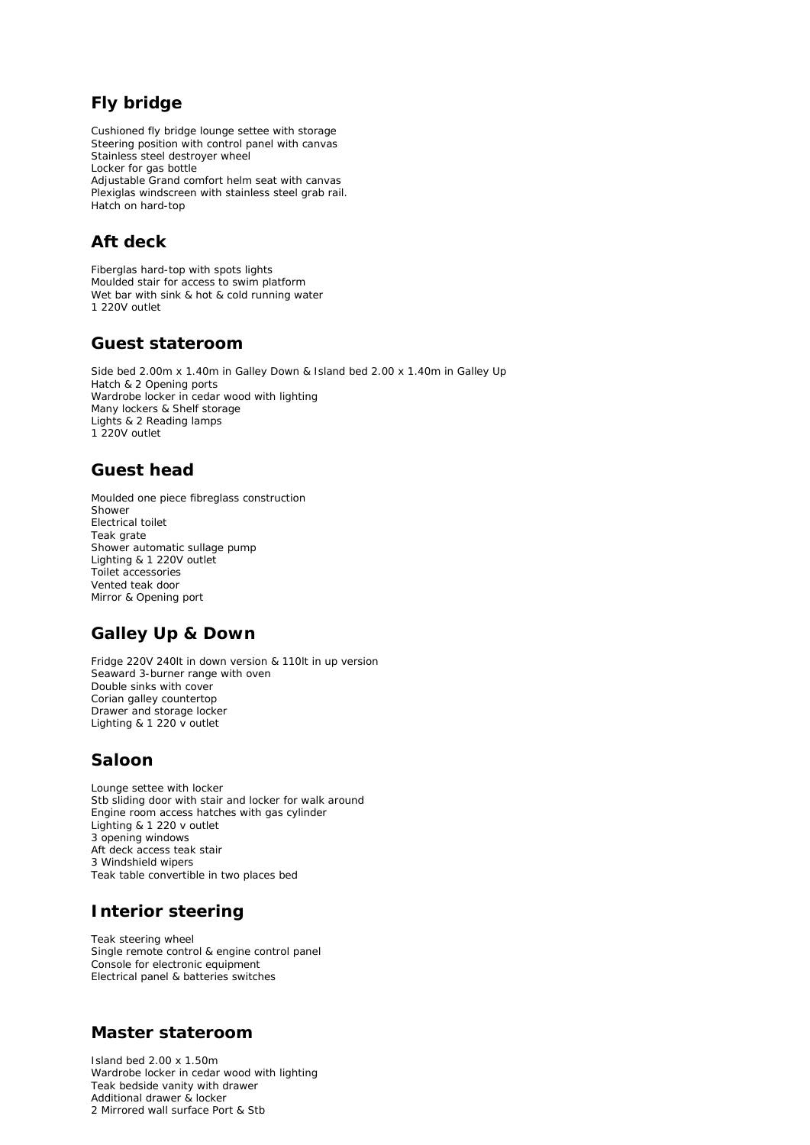# **Fly bridge**

Cushioned fly bridge lounge settee with storage Steering position with control panel with canvas Stainless steel destroyer wheel Locker for gas bottle Adjustable Grand comfort helm seat with canvas Plexiglas windscreen with stainless steel grab rail. Hatch on hard-top

### **Aft deck**

Fiberglas hard-top with spots lights Moulded stair for access to swim platform Wet bar with sink & hot & cold running water 1 220V outlet

#### **Guest stateroom**

Side bed 2.00m x 1.40m in Galley Down & Island bed 2.00 x 1.40m in Galley Up Hatch & 2 Opening ports Wardrobe locker in cedar wood with lighting Many lockers & Shelf storage Lights & 2 Reading lamps 1 220V outlet

#### **Guest head**

Moulded one piece fibreglass construction Shower Electrical toilet Teak grate Shower automatic sullage pump Lighting & 1 220V outlet Toilet accessories Vented teak door Mirror & Opening port

# **Galley Up & Down**

Fridge 220V 240lt in down version & 110lt in up version Seaward 3-burner range with oven Double sinks with cover Corian galley countertop Drawer and storage locker Lighting & 1 220 v outlet

### **Saloon**

Lounge settee with locker Stb sliding door with stair and locker for walk around Engine room access hatches with gas cylinder Lighting & 1 220 v outlet 3 opening windows Aft deck access teak stair 3 Windshield wipers Teak table convertible in two places bed

# **Interior steering**

Teak steering wheel Single remote control & engine control panel Console for electronic equipment Electrical panel & batteries switches

### **Master stateroom**

Island bed 2.00 x 1.50m Wardrobe locker in cedar wood with lighting Teak bedside vanity with drawer Additional drawer & locker 2 Mirrored wall surface Port & Stb